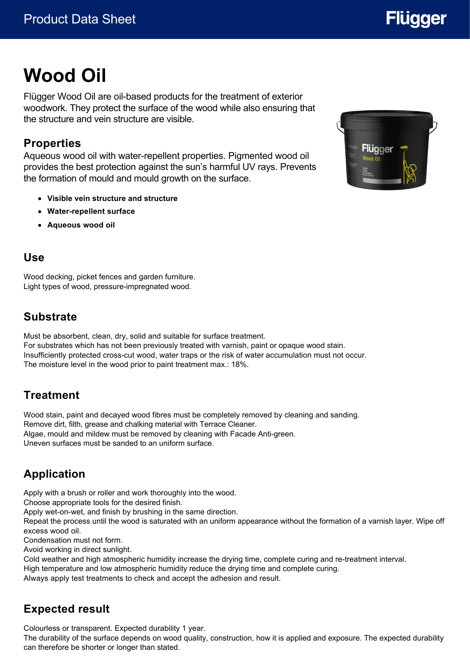# **Flügger**

# **Wood Oil**

Flügger Wood Oil are oil-based products for the treatment of exterior woodwork. They protect the surface of the wood while also ensuring that the structure and vein structure are visible.

### **Properties**

Aqueous wood oil with water-repellent properties. Pigmented wood oil provides the best protection against the sun's harmful UV rays. Prevents the formation of mould and mould growth on the surface.

- **Visible vein structure and structure**
- **Water-repellent surface**
- **Aqueous wood oil**

#### **Use**

Wood decking, picket fences and garden furniture. Light types of wood, pressure-impregnated wood.

# **Substrate**

Must be absorbent, clean, dry, solid and suitable for surface treatment. For substrates which has not been previously treated with varnish, paint or opaque wood stain. Insufficiently protected cross-cut wood, water traps or the risk of water accumulation must not occur. The moisture level in the wood prior to paint treatment max.: 18%.

# **Treatment**

Wood stain, paint and decayed wood fibres must be completely removed by cleaning and sanding. Remove dirt, filth, grease and chalking material with Terrace Cleaner. Algae, mould and mildew must be removed by cleaning with Facade Anti-green. Uneven surfaces must be sanded to an uniform surface.

# **Application**

Apply with a brush or roller and work thoroughly into the wood.

Choose appropriate tools for the desired finish.

Apply wet-on-wet, and finish by brushing in the same direction.

Repeat the process until the wood is saturated with an uniform appearance without the formation of a varnish layer. Wipe off excess wood oil.

Condensation must not form.

Avoid working in direct sunlight.

Cold weather and high atmospheric humidity increase the drying time, complete curing and re-treatment interval.

High temperature and low atmospheric humidity reduce the drying time and complete curing.

Always apply test treatments to check and accept the adhesion and result.

# **Expected result**

Colourless or transparent. Expected durability 1 year.

The durability of the surface depends on wood quality, construction, how it is applied and exposure. The expected durability can therefore be shorter or longer than stated.